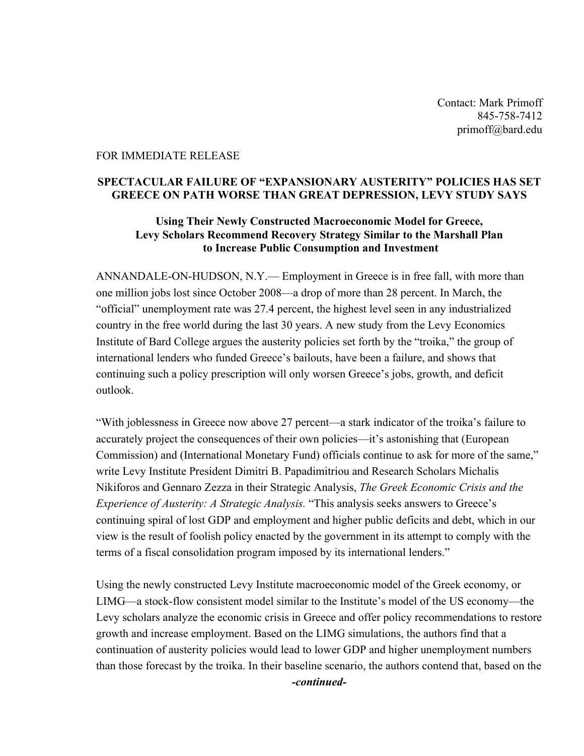Contact: Mark Primoff 845-758-7412 primoff@bard.edu

## FOR IMMEDIATE RELEASE

## **SPECTACULAR FAILURE OF "EXPANSIONARY AUSTERITY" POLICIES HAS SET GREECE ON PATH WORSE THAN GREAT DEPRESSION, LEVY STUDY SAYS**

## **Using Their Newly Constructed Macroeconomic Model for Greece, Levy Scholars Recommend Recovery Strategy Similar to the Marshall Plan to Increase Public Consumption and Investment**

ANNANDALE-ON-HUDSON, N.Y.— Employment in Greece is in free fall, with more than one million jobs lost since October 2008—a drop of more than 28 percent. In March, the "official" unemployment rate was 27.4 percent, the highest level seen in any industrialized country in the free world during the last 30 years. A new study from the Levy Economics Institute of Bard College argues the austerity policies set forth by the "troika," the group of international lenders who funded Greece's bailouts, have been a failure, and shows that continuing such a policy prescription will only worsen Greece's jobs, growth, and deficit outlook.

"With joblessness in Greece now above 27 percent—a stark indicator of the troika's failure to accurately project the consequences of their own policies—it's astonishing that (European Commission) and (International Monetary Fund) officials continue to ask for more of the same," write Levy Institute President Dimitri B. Papadimitriou and Research Scholars Michalis Nikiforos and Gennaro Zezza in their Strategic Analysis, *The Greek Economic Crisis and the Experience of Austerity: A Strategic Analysis.* "This analysis seeks answers to Greece's continuing spiral of lost GDP and employment and higher public deficits and debt, which in our view is the result of foolish policy enacted by the government in its attempt to comply with the terms of a fiscal consolidation program imposed by its international lenders."

Using the newly constructed Levy Institute macroeconomic model of the Greek economy, or LIMG—a stock-flow consistent model similar to the Institute's model of the US economy—the Levy scholars analyze the economic crisis in Greece and offer policy recommendations to restore growth and increase employment. Based on the LIMG simulations, the authors find that a continuation of austerity policies would lead to lower GDP and higher unemployment numbers than those forecast by the troika. In their baseline scenario, the authors contend that, based on the

*-continued-*